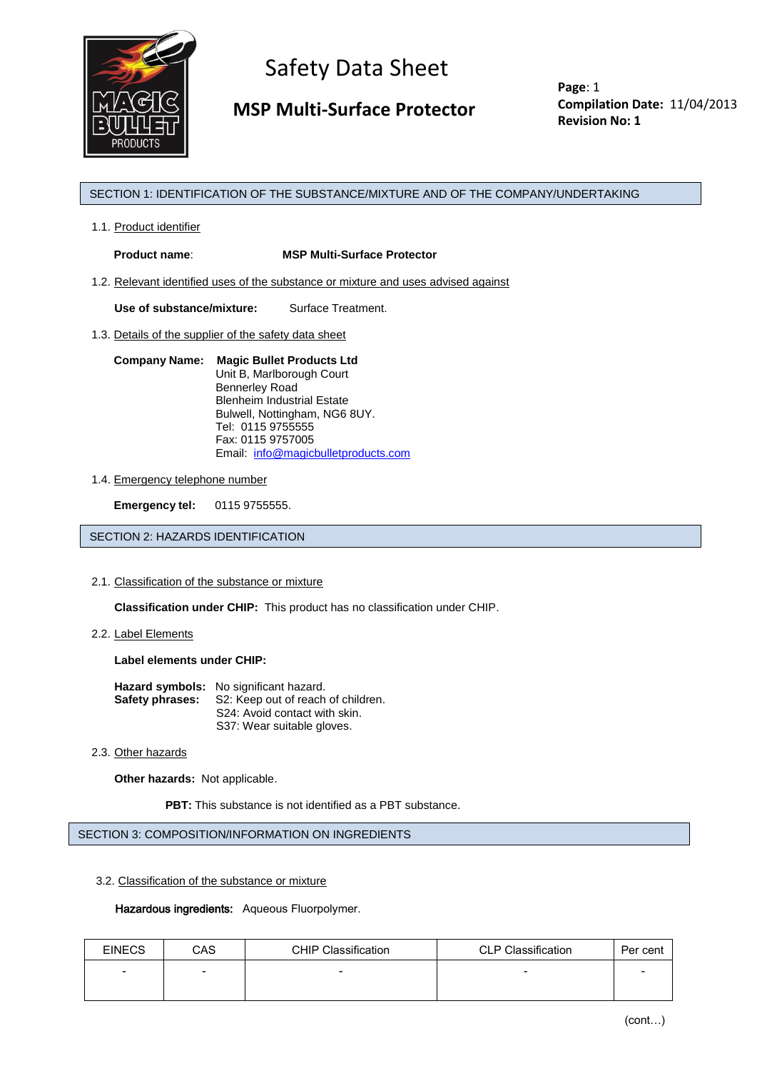

 **MSP Multi-Surface Protector**

**Page**: 1 **Compilation Date:** 11/04/2013 **Revision No: 1**

# SECTION 1: IDENTIFICATION OF THE SUBSTANCE/MIXTURE AND OF THE COMPANY/UNDERTAKING

1.1. Product identifier

**Product name**: **MSP Multi-Surface Protector**

1.2. Relevant identified uses of the substance or mixture and uses advised against

**Use of substance/mixture:** Surface Treatment.

1.3. Details of the supplier of the safety data sheet

#### **Company Name: Magic Bullet Products Ltd** Unit B, Marlborough Court Bennerley Road Blenheim Industrial Estate Bulwell, Nottingham, NG6 8UY. Tel: 0115 9755555 Fax: 0115 9757005 Email: [info@magicbulletproducts.com](mailto:info@magicbulletproducts.com)

# 1.4. Emergency telephone number

**Emergency tel:** 0115 9755555.

SECTION 2: HAZARDS IDENTIFICATION

2.1. Classification of the substance or mixture

**Classification under CHIP:** This product has no classification under CHIP.

2.2. Label Elements

**Label elements under CHIP:**

| <b>Hazard symbols:</b> No significant hazard.             |  |
|-----------------------------------------------------------|--|
| <b>Safety phrases:</b> S2: Keep out of reach of children. |  |
| S24: Avoid contact with skin.                             |  |
| S37: Wear suitable gloves.                                |  |

2.3. Other hazards

**Other hazards:** Not applicable.

**PBT:** This substance is not identified as a PBT substance.

SECTION 3: COMPOSITION/INFORMATION ON INGREDIENTS

3.2. Classification of the substance or mixture

## Hazardous ingredients: Aqueous Fluorpolymer.

| <b>EINECS</b>            | CAS                      | <b>CHIP Classification</b> | <b>CLP Classification</b> | Per cent                 |
|--------------------------|--------------------------|----------------------------|---------------------------|--------------------------|
| $\overline{\phantom{a}}$ | $\overline{\phantom{0}}$ | $\overline{\phantom{0}}$   | $\overline{\phantom{a}}$  | $\overline{\phantom{a}}$ |
|                          |                          |                            |                           |                          |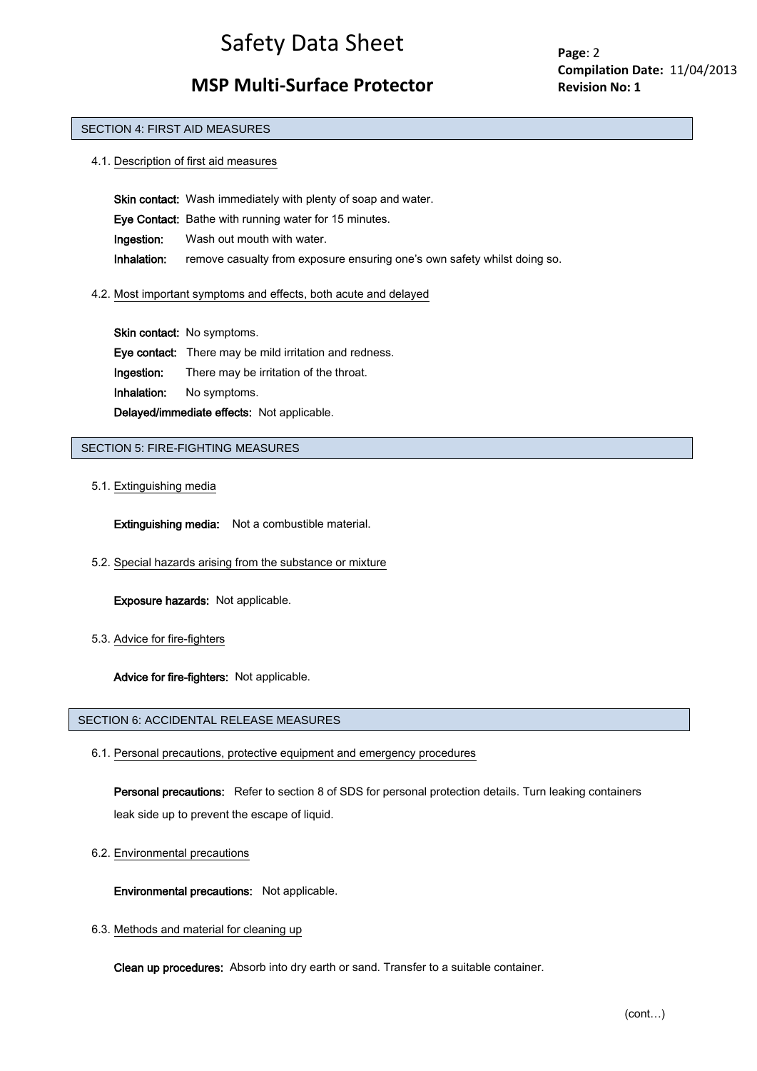# **MSP Multi-Surface Protector**

**Page**: 2 **Compilation Date:** 11/04/2013 **Revision No: 1**

#### SECTION 4: FIRST AID MEASURES

4.1. Description of first aid measures

Skin contact: Wash immediately with plenty of soap and water. Eye Contact: Bathe with running water for 15 minutes. Ingestion: Wash out mouth with water. Inhalation: remove casualty from exposure ensuring one's own safety whilst doing so.

4.2. Most important symptoms and effects, both acute and delayed

Skin contact: No symptoms. Eye contact: There may be mild irritation and redness. Ingestion: There may be irritation of the throat. Inhalation: No symptoms. Delayed/immediate effects: Not applicable.

## SECTION 5: FIRE-FIGHTING MEASURES

#### 5.1. Extinguishing media

Extinguishing media: Not a combustible material.

5.2. Special hazards arising from the substance or mixture

Exposure hazards: Not applicable.

5.3. Advice for fire-fighters

Advice for fire-fighters: Not applicable.

#### SECTION 6: ACCIDENTAL RELEASE MEASURES

6.1. Personal precautions, protective equipment and emergency procedures

 Personal precautions: Refer to section 8 of SDS for personal protection details. Turn leaking containers leak side up to prevent the escape of liquid.

6.2. Environmental precautions

Environmental precautions: Not applicable.

6.3. Methods and material for cleaning up

Clean up procedures: Absorb into dry earth or sand. Transfer to a suitable container.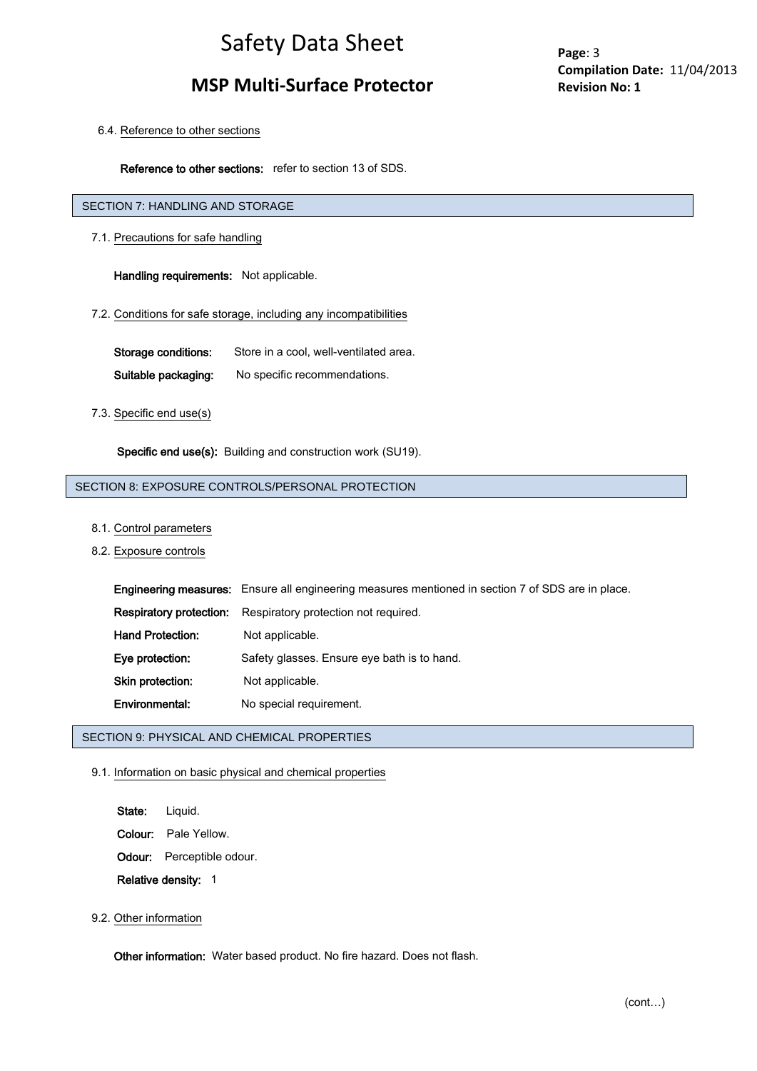# **MSP Multi-Surface Protector**

**Page**: 3 **Compilation Date:** 11/04/2013 **Revision No: 1**

6.4. Reference to other sections

Reference to other sections: refer to section 13 of SDS.

# SECTION 7: HANDLING AND STORAGE

7.1. Precautions for safe handling

Handling requirements: Not applicable.

## 7.2. Conditions for safe storage, including any incompatibilities

Storage conditions: Store in a cool, well-ventilated area. Suitable packaging: No specific recommendations.

### 7.3. Specific end use(s)

Specific end use(s): Building and construction work (SU19).

# SECTION 8: EXPOSURE CONTROLS/PERSONAL PROTECTION

### 8.1. Control parameters

8.2. Exposure controls

|                         | <b>Engineering measures:</b> Ensure all engineering measures mentioned in section 7 of SDS are in place. |
|-------------------------|----------------------------------------------------------------------------------------------------------|
| Respiratory protection: | Respiratory protection not required.                                                                     |
| <b>Hand Protection:</b> | Not applicable.                                                                                          |
| Eye protection:         | Safety glasses. Ensure eye bath is to hand.                                                              |
| Skin protection:        | Not applicable.                                                                                          |
| Environmental:          | No special requirement.                                                                                  |

# SECTION 9: PHYSICAL AND CHEMICAL PROPERTIES

# 9.1. Information on basic physical and chemical properties

- State: Liquid.
- Colour: Pale Yellow.
- Odour: Perceptible odour.

Relative density: 1

## 9.2. Other information

Other information: Water based product. No fire hazard. Does not flash.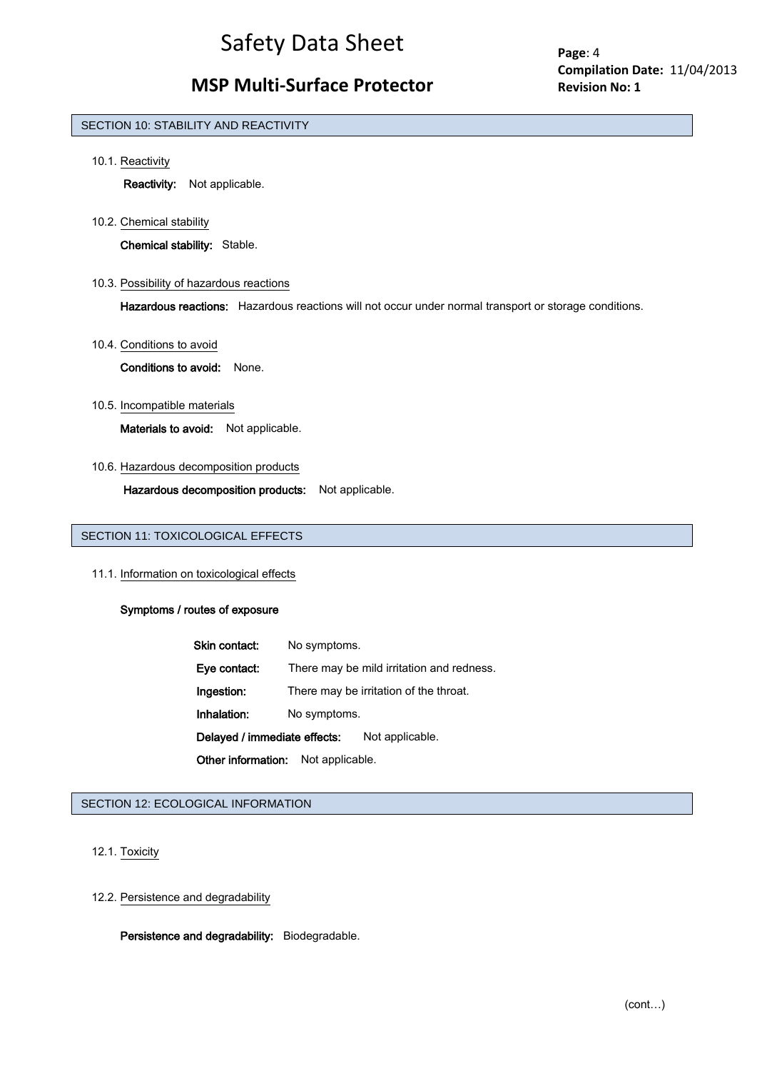# **MSP Multi-Surface Protector**

**Page**: 4 **Compilation Date:** 11/04/2013 **Revision No: 1**

### SECTION 10: STABILITY AND REACTIVITY

10.1. Reactivity

Reactivity: Not applicable.

10.2. Chemical stability

Chemical stability: Stable.

10.3. Possibility of hazardous reactions

Hazardous reactions: Hazardous reactions will not occur under normal transport or storage conditions.

10.4. Conditions to avoid

Conditions to avoid: None.

10.5. Incompatible materials

Materials to avoid: Not applicable.

10.6. Hazardous decomposition products

Hazardous decomposition products: Not applicable.

# SECTION 11: TOXICOLOGICAL EFFECTS

11.1. Information on toxicological effects

### Symptoms / routes of exposure

| Skin contact:                | No symptoms.    |                                           |
|------------------------------|-----------------|-------------------------------------------|
| Eye contact:                 |                 | There may be mild irritation and redness. |
| Ingestion:                   |                 | There may be irritation of the throat.    |
| Inhalation:                  | No symptoms.    |                                           |
| Delayed / immediate effects: |                 | Not applicable.                           |
| Other information:           | Not applicable. |                                           |

# SECTION 12: ECOLOGICAL INFORMATION

12.1. Toxicity

12.2. Persistence and degradability

Persistence and degradability: Biodegradable.